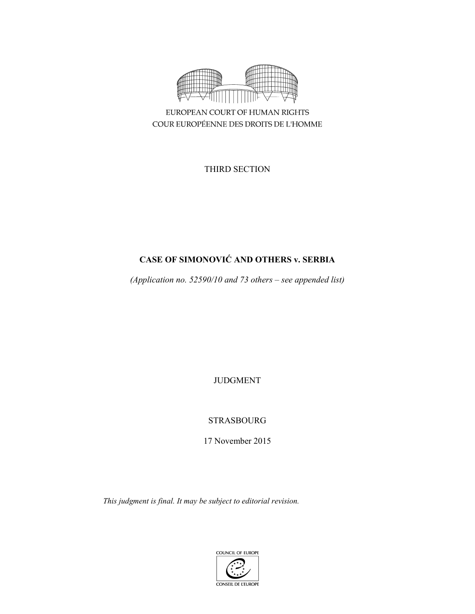

EUROPEAN COURT OF HUMAN RIGHTS COUR EUROPÉENNE DES DROITS DE L'HOMME

THIRD SECTION

# **CASE OF SIMONOVIĆ AND OTHERS v. SERBIA**

*(Application no. 52590/10 and 73 others – see appended list)* 

JUDGMENT

STRASBOURG

17 November 2015

*This judgment is final. It may be subject to editorial revision.* 

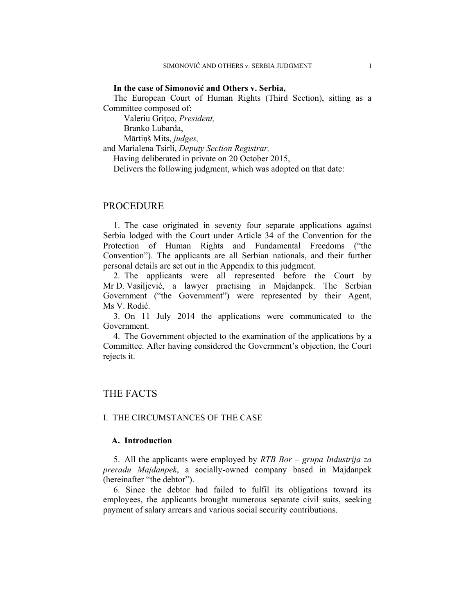#### **In the case of Simonović and Others v. Serbia,**

The European Court of Human Rights (Third Section), sitting as a Committee composed of:

 Valeriu Griţco, *President,*  Branko Lubarda,

Mārtiņš Mits, *judges,*

and Marialena Tsirli, *Deputy Section Registrar,*

Having deliberated in private on 20 October 2015,

Delivers the following judgment, which was adopted on that date:

# PROCEDURE

1. The case originated in seventy four separate applications against Serbia lodged with the Court under Article 34 of the Convention for the Protection of Human Rights and Fundamental Freedoms ("the Convention"). The applicants are all Serbian nationals, and their further personal details are set out in the Appendix to this judgment.

2. The applicants were all represented before the Court by Mr D. Vasiljević, a lawyer practising in Majdanpek. The Serbian Government ("the Government") were represented by their Agent, Ms V. Rodić.

3. On 11 July 2014 the applications were communicated to the Government.

4. The Government objected to the examination of the applications by a Committee. After having considered the Government's objection, the Court rejects it.

# THE FACTS

### I. THE CIRCUMSTANCES OF THE CASE

#### **A. Introduction**

5. All the applicants were employed by *RTB Bor – grupa Industrija za preradu Majdanpek*, a socially-owned company based in Majdanpek (hereinafter "the debtor").

6. Since the debtor had failed to fulfil its obligations toward its employees, the applicants brought numerous separate civil suits, seeking payment of salary arrears and various social security contributions.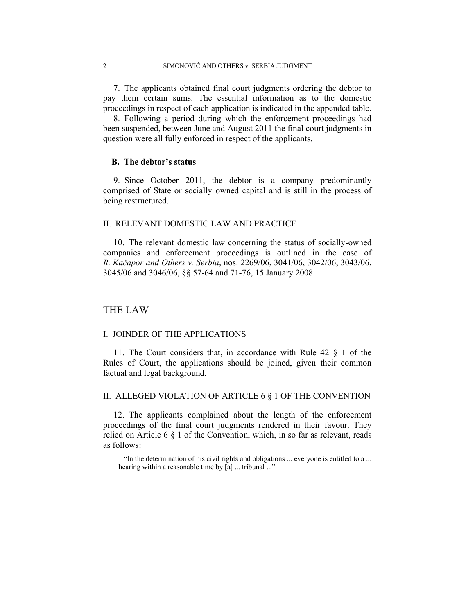7. The applicants obtained final court judgments ordering the debtor to pay them certain sums. The essential information as to the domestic proceedings in respect of each application is indicated in the appended table.

8. Following a period during which the enforcement proceedings had been suspended, between June and August 2011 the final court judgments in question were all fully enforced in respect of the applicants.

### **B. The debtor's status**

9. Since October 2011, the debtor is a company predominantly comprised of State or socially owned capital and is still in the process of being restructured.

### II. RELEVANT DOMESTIC LAW AND PRACTICE

10. The relevant domestic law concerning the status of socially-owned companies and enforcement proceedings is outlined in the case of *R. Kačapor and Others v. Serbia*, nos. 2269/06, 3041/06, 3042/06, 3043/06, 3045/06 and 3046/06, §§ 57-64 and 71-76, 15 January 2008.

## THE LAW

#### I. JOINDER OF THE APPLICATIONS

11. The Court considers that, in accordance with Rule 42 § 1 of the Rules of Court, the applications should be joined, given their common factual and legal background.

# II. ALLEGED VIOLATION OF ARTICLE 6 § 1 OF THE CONVENTION

12. The applicants complained about the length of the enforcement proceedings of the final court judgments rendered in their favour. They relied on Article 6 § 1 of the Convention, which, in so far as relevant, reads as follows:

"In the determination of his civil rights and obligations ... everyone is entitled to a ... hearing within a reasonable time by [a] ... tribunal ..."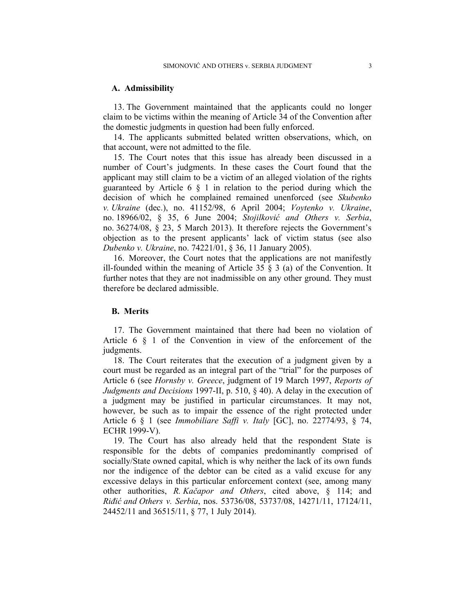#### **A. Admissibility**

13. The Government maintained that the applicants could no longer claim to be victims within the meaning of Article 34 of the Convention after the domestic judgments in question had been fully enforced.

14. The applicants submitted belated written observations, which, on that account, were not admitted to the file.

15. The Court notes that this issue has already been discussed in a number of Court's judgments. In these cases the Court found that the applicant may still claim to be a victim of an alleged violation of the rights guaranteed by Article  $6 \tS 1$  in relation to the period during which the decision of which he complained remained unenforced (see *Skubenko v. Ukraine* (dec.), no. 41152/98, 6 April 2004; *Voytenko v. Ukraine*, no. 18966/02, § 35, 6 June 2004; *Stojilković and Others v. Serbia*, no. 36274/08, § 23, 5 March 2013). It therefore rejects the Government's objection as to the present applicants' lack of victim status (see also *Dubenko v. Ukraine*, no. 74221/01, § 36, 11 January 2005).

16. Moreover, the Court notes that the applications are not manifestly ill-founded within the meaning of Article 35  $\S$  3 (a) of the Convention. It further notes that they are not inadmissible on any other ground. They must therefore be declared admissible.

## **B. Merits**

17. The Government maintained that there had been no violation of Article 6 § 1 of the Convention in view of the enforcement of the judgments.

18. The Court reiterates that the execution of a judgment given by a court must be regarded as an integral part of the "trial" for the purposes of Article 6 (see *Hornsby v. Greece*, judgment of 19 March 1997, *Reports of Judgments and Decisions* 1997-II, p. 510, § 40). A delay in the execution of a judgment may be justified in particular circumstances. It may not, however, be such as to impair the essence of the right protected under Article 6 § 1 (see *Immobiliare Saffi v. Italy* [GC], no. 22774/93, § 74, ECHR 1999-V).

19. The Court has also already held that the respondent State is responsible for the debts of companies predominantly comprised of socially/State owned capital, which is why neither the lack of its own funds nor the indigence of the debtor can be cited as a valid excuse for any excessive delays in this particular enforcement context (see, among many other authorities, *R. Kačapor and Others*, cited above, § 114; and *Riđić and Others v. Serbia*, nos. 53736/08, 53737/08, 14271/11, 17124/11, 24452/11 and 36515/11, § 77, 1 July 2014).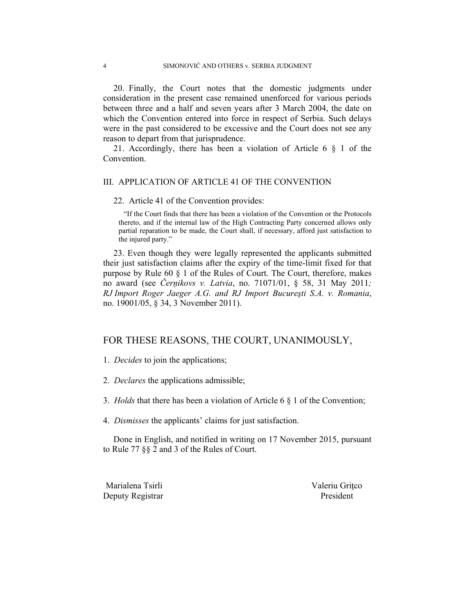20. Finally, the Court notes that the domestic judgments under consideration in the present case remained unenforced for various periods between three and a half and seven years after 3 March 2004, the date on which the Convention entered into force in respect of Serbia. Such delays were in the past considered to be excessive and the Court does not see any reason to depart from that jurisprudence.

21. Accordingly, there has been a violation of Article 6 § 1 of the Convention.

#### III. APPLICATION OF ARTICLE 41 OF THE CONVENTION

#### 22. Article 41 of the Convention provides:

"If the Court finds that there has been a violation of the Convention or the Protocols thereto, and if the internal law of the High Contracting Party concerned allows only partial reparation to be made, the Court shall, if necessary, afford just satisfaction to the injured party."

23. Even though they were legally represented the applicants submitted their just satisfaction claims after the expiry of the time-limit fixed for that purpose by Rule 60 § 1 of the Rules of Court. The Court, therefore, makes no award (see *Čerņikovs v. Latvia*, no. 71071/01, § 58, 31 May 2011*; RJ Import Roger Jaeger A.G. and RJ Import Bucureşti S.A. v. Romania*, no. 19001/05, § 34, 3 November 2011).

# FOR THESE REASONS, THE COURT, UNANIMOUSLY,

1. *Decides* to join the applications;

2. *Declares* the applications admissible;

3. *Holds* that there has been a violation of Article 6 § 1 of the Convention;

4. *Dismisses* the applicants' claims for just satisfaction.

Done in English, and notified in writing on 17 November 2015, pursuant to Rule 77 §§ 2 and 3 of the Rules of Court.

Deputy Registrar President

Marialena Tsirli Valeriu Griţco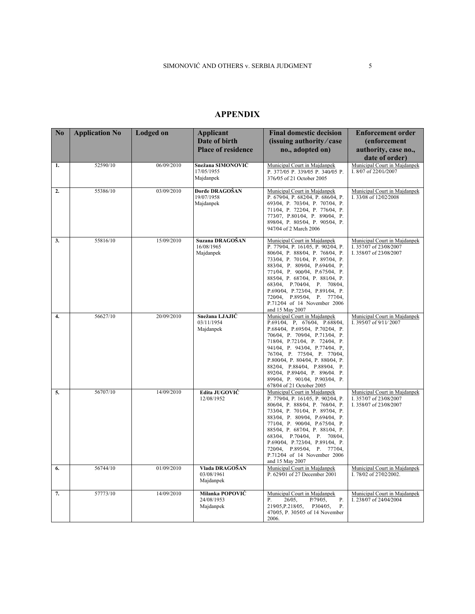| N <sub>0</sub>   | <b>Application No</b> | <b>Lodged</b> on | <b>Applicant</b>                           | <b>Final domestic decision</b>                                                                                                                                                                                                                                                                                                                                                                          | <b>Enforcement order</b>                                                         |
|------------------|-----------------------|------------------|--------------------------------------------|---------------------------------------------------------------------------------------------------------------------------------------------------------------------------------------------------------------------------------------------------------------------------------------------------------------------------------------------------------------------------------------------------------|----------------------------------------------------------------------------------|
|                  |                       |                  | Date of birth                              | (issuing authority/case                                                                                                                                                                                                                                                                                                                                                                                 | (enforcement                                                                     |
|                  |                       |                  | <b>Place of residence</b>                  | no., adopted on)                                                                                                                                                                                                                                                                                                                                                                                        | authority, case no.,                                                             |
| 1.               | 52590/10              | 06/09/2010       | Snežana SIMONOVIĆ                          | Municipal Court in Majdanpek                                                                                                                                                                                                                                                                                                                                                                            | date of order)<br>Municipal Court in Majdanpek                                   |
|                  |                       |                  | 17/05/1955<br>Majdanpek                    | P. 377/05 P. 339/05 P. 340/05 P.<br>376/05 of 21 October 2005                                                                                                                                                                                                                                                                                                                                           | I. 807 of 2201/2007                                                              |
| 2.               | 55386/10              | 03/09/2010       | Đorđe DRAGOŠAN<br>19/07/1958<br>Majdanpek  | Municipal Court in Majdanpek<br>P. 679/04, P. 682/04, P. 686/04, P.<br>693/04, P. 703/04, P. 707/04, P.<br>711/04, P. 722/04, P. 776/04, P.<br>77307, P.80104, P. 89004, P.<br>89804, P. 80504, P. 90504, P.<br>947/04 of 2 March 2006                                                                                                                                                                  | Municipal Court in Majdanpek<br>I. 3308 of 1202/2008                             |
| $\overline{3}$ . | 55816/10              | 15/09/2010       | Suzana DRAGOŠAN<br>16/08/1965<br>Majdanpek | Municipal Court in Majdanpek<br>P. 77904, P. 16105, P. 90204, P.<br>806/04, P. 888/04, P. 768/04, P.<br>733/04, P. 701/04, P. 897/04, P.<br>883/04, P. 809/04, P.694/04, P.<br>771/04, P. 900/04, P.675/04, P.<br>885/04, P. 687/04, P. 881/04, P.<br>68304, P.70404, P. 70804,<br>P.69004, P.72304, P.89104, P.<br>72004, P.89504, P. 77704,<br>P.71204 of 14 November 2006<br>and 15 May 2007         | Municipal Court in Majdanpek<br>I. 357/07 of 23/08/2007<br>I. 35807 of 2308/2007 |
| $\overline{4}$ . | 56627/10              | 20/09/2010       | Snežana LJAJIĆ<br>03/11/1954<br>Majdanpek  | Municipal Court in Majdanpek<br>P.691/04, P. 676/04, P.688/04,<br>P.68404, P.69504, P.70204, P.<br>70604, P. 70904, P.71304, P.<br>71804, P.72104, P. 72404, P.<br>941/04, P. 943/04, P.774/04, P.<br>767/04, P. 775/04, P. 770/04,<br>P.80004, P. 80404, P. 88004, P.<br>88204, P.88404, P.88904, P.<br>892/04, P.894/04, P. 896/04. P.<br>899/04, P. 901/04, P.903/04, P.<br>67804 of 21 October 2005 | Municipal Court in Majdanpek<br>I. 395⁄07 of 9/11/2007                           |
| 5.               | 56707/10              | 14/09/2010       | Edita JUGOVIĆ<br>12/08/1952                | Municipal Court in Majdanpek<br>P. 779/04, P. 161/05, P. 902/04, P.<br>806/04, P. 888/04, P. 768/04, P.<br>733/04, P. 701/04, P. 897/04, P.<br>883/04, P. 809/04, P.694/04, P.<br>771/04, P. 900/04, P.675/04, P.<br>885/04, P. 687/04, P. 881/04, P.<br>68304, P.70404, P. 70804,<br>P.69004, P.72304, P.89104, P.<br>72004, P.89504, P. 77704,<br>P.71204 of 14 November 2006<br>and 15 May 2007      | Municipal Court in Majdanpek<br>I. 357/07 of 23/08/2007<br>I. 35807 of 2308/2007 |
| 6.               | 56744/10              | 01/09/2010       | Vlada DRAGOŠAN<br>03/08/1961<br>Majdanpek  | Municipal Court in Majdanpek<br>P. 629/01 of 27 December 2001                                                                                                                                                                                                                                                                                                                                           | Municipal Court in Majdanpek<br>I. 7802 of 27/02/2002.                           |
| 7.               | 57773/10              | 14/09/2010       | Milanka POPOVIĆ<br>24/08/1953<br>Majdanpek | Municipal Court in Majdanpek<br>Ρ.<br>2605,<br>P/79/05,<br>Ρ.<br>P30405,<br>219/05.P.218/05.<br>Ρ.<br>47005, P. 30505 of 14 November                                                                                                                                                                                                                                                                    | Municipal Court in Majdanpek<br>I. 23807 of 2404/2004                            |

2006.

# **APPENDIX**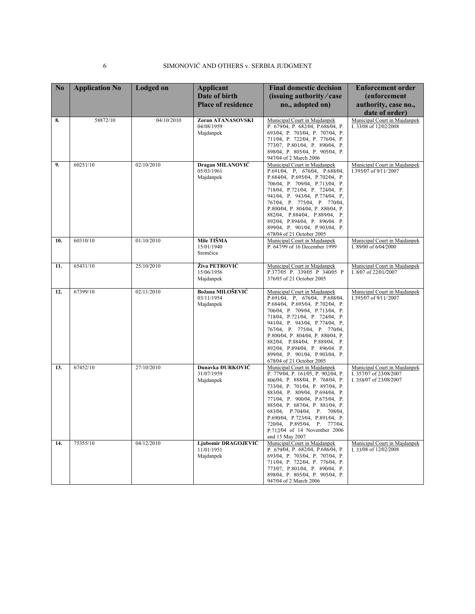| N <sub>0</sub> | <b>Application No</b> | <b>Lodged</b> on | <b>Applicant</b>                | <b>Final domestic decision</b>                                       | <b>Enforcement order</b>                             |
|----------------|-----------------------|------------------|---------------------------------|----------------------------------------------------------------------|------------------------------------------------------|
|                |                       |                  | Date of birth                   | (issuing authority/case                                              | <i>(enforcement)</i>                                 |
|                |                       |                  | <b>Place of residence</b>       | no., adopted on)                                                     | authority, case no.,                                 |
|                |                       |                  |                                 |                                                                      | date of order)                                       |
| 8.             | 58872/10              | 04/10/2010       | Zoran ATANASOVSKI<br>04/08/1959 | Municipal Court in Majdanpek<br>P. 67904, P. 68204, P.68604, P.      | Municipal Court in Majdanpek<br>I. 3308 of 1202/2008 |
|                |                       |                  | Majdanpek                       | 693/04, P. 703/04, P. 707/04, P.<br>711/04, P. 722/04, P. 776/04, P. |                                                      |
|                |                       |                  |                                 | 77307, P.80104, P. 89004, P.                                         |                                                      |
|                |                       |                  |                                 | 89804, P. 80504, P. 90504, P.<br>947/04 of 2 March 2006              |                                                      |
| 9.             | 60251/10              | 02/10/2010       | Dragan MILANOVIĆ                | Municipal Court in Majdanpek                                         | Municipal Court in Majdanpek                         |
|                |                       |                  | 05/03/1961<br>Majdanpek         | P.691/04, P. 676/04, P.688/04,<br>P.68404, P.69504, P.70204, P.      | I.395⁄07 of 9/11/2007                                |
|                |                       |                  |                                 | 70604, P. 70904, P.71304, P.                                         |                                                      |
|                |                       |                  |                                 | 71804, P.72104, P. 72404, P.<br>941/04, P. 943/04, P.774/04, P.      |                                                      |
|                |                       |                  |                                 | 767/04, P. 775/04, P. 770/04,                                        |                                                      |
|                |                       |                  |                                 | P.80004, P. 80404, P. 88004, P.<br>88204, P.88404, P.889/04, P.      |                                                      |
|                |                       |                  |                                 | 892/04, P.894/04, P. 896/04. P.                                      |                                                      |
|                |                       |                  |                                 | 899/04, P. 901/04, P.903/04, P.<br>67804 of 21 October 2005          |                                                      |
| 10.            | 60310/10              | 01/10/2010       | Mile TIŠMA                      | Municipal Court in Majdanpek                                         | Municipal Court in Majdanpek                         |
|                |                       |                  | 15/01/1940<br>Sremčica          | P. 647/99 of 16 December 1999                                        | I. 89/00 of 6/04/2000                                |
|                |                       |                  |                                 |                                                                      |                                                      |
| 11.            | 65431/10              | 25/10/2010       | Živa PETROVIĆ<br>15/06/1956     | Municipal Court in Majdanpek<br>P.377/05 P. 339/05 P 340/05 P        | Municipal Court in Majdanpek<br>I. 807 of 2201/2007  |
|                |                       |                  | Majdanpek                       | 376⁄05 of 21 October 2005                                            |                                                      |
| 12.            | 67399/10              | 02/11/2010       | Božana MILOŠEVIĆ                | Municipal Court in Majdanpek                                         | Municipal Court in Majdanpek                         |
|                |                       |                  | 03/11/1954                      | P.691/04, P. 676/04, P.688/04,                                       | I.395⁄07 of 9/11/2007                                |
|                |                       |                  | Majdanpek                       | P.68404, P.69504, P.70204, P.<br>70604, P. 70904, P.71304, P.        |                                                      |
|                |                       |                  |                                 | 71804, P.72104, P. 72404, P.                                         |                                                      |
|                |                       |                  |                                 | 941/04, P. 943/04, P.774/04, P.<br>767/04, P. 775/04, P. 770/04,     |                                                      |
|                |                       |                  |                                 | P.80004, P. 80404, P. 88004, P.                                      |                                                      |
|                |                       |                  |                                 | 882/04, P.884/04, P.889/04, P.<br>892/04, P.894/04, P. 896/04. P.    |                                                      |
|                |                       |                  |                                 | 899/04, P. 901/04, P.903/04, P.                                      |                                                      |
| 13.            | 67452/10              | 27/10/2010       | Dunavka ĐURKOVIĆ                | 67804 of 21 October 2005<br>Municipal Court in Majdanpek             | Municipal Court in Majdanpek                         |
|                |                       |                  | 31/07/1959                      | P. 779/04, P. 161/05, P. 902/04, P.                                  | I. 357/07 of 23/08/2007                              |
|                |                       |                  | Majdanpek                       | 806/04, P. 888/04, P. 768/04, P.<br>733/04, P. 701/04, P. 897/04, P. | I. 35807 of 2308/2007                                |
|                |                       |                  |                                 | 883/04, P. 809/04, P.694/04, P.                                      |                                                      |
|                |                       |                  |                                 | 771/04, P. 900/04, P.675/04, P.<br>885/04, P. 687/04, P. 881/04, P.  |                                                      |
|                |                       |                  |                                 | 68304, P.70404, P. 70804,                                            |                                                      |
|                |                       |                  |                                 | P.69004, P.72304, P.89104, P.<br>72004, P.89504, P. 77704,           |                                                      |
|                |                       |                  |                                 | P.71204 of 14 November 2006                                          |                                                      |
| 14.            | 75355/10              | 04/12/2010       | Ljubomir DRAGOJEVIĆ             | and 15 May 2007<br>Municipal Court in Majdanpek                      | Municipal Court in Majdanpek                         |
|                |                       |                  | 11/01/1951                      | P. 679/04, P. 682/04, P.686/04, P.                                   | I. 3308 of 1202/2008                                 |
|                |                       |                  | Majdanpek                       | 693/04, P. 703/04, P. 707/04, P.<br>711/04, P. 722/04, P. 776/04, P. |                                                      |
|                |                       |                  |                                 | 77307, P.80104, P. 89004, P.                                         |                                                      |
|                |                       |                  |                                 | 89804, P. 80504, P. 90504, P.<br>947/04 of 2 March 2006              |                                                      |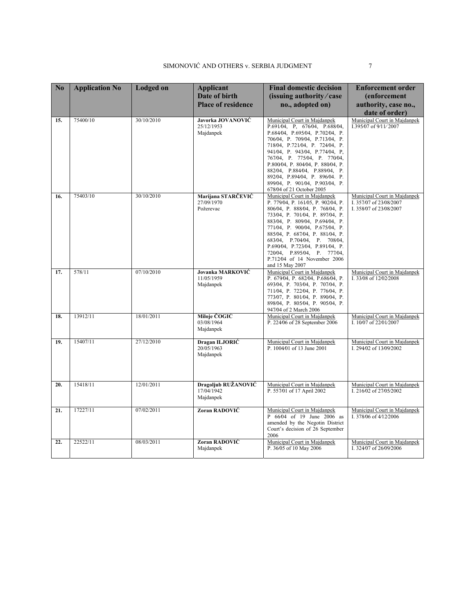| $\mathbf{N}\mathbf{0}$ | <b>Application No</b> | <b>Lodged</b> on | <b>Applicant</b><br>Date of birth<br><b>Place of residence</b> | <b>Final domestic decision</b><br>(issuing authority/case<br>no., adopted on)                                                                                                                                                                                                                                                                                                                           | <b>Enforcement order</b><br><i>(enforcement)</i><br>authority, case no.,         |
|------------------------|-----------------------|------------------|----------------------------------------------------------------|---------------------------------------------------------------------------------------------------------------------------------------------------------------------------------------------------------------------------------------------------------------------------------------------------------------------------------------------------------------------------------------------------------|----------------------------------------------------------------------------------|
| 15.                    | 75400/10              | 30/10/2010       | Javorka JOVANOVIĆ<br>25/12/1953<br>Majdanpek                   | Municipal Court in Majdanpek<br>P.691/04, P. 676/04, P.688/04,<br>P.68404, P.69504, P.70204, P.<br>70604, P. 70904, P.71304, P.<br>71804, P.72104, P. 72404, P.<br>941/04, P. 943/04, P.774/04, P.<br>767/04, P. 775/04, P. 770/04,<br>P.80004, P. 80404, P. 88004, P.<br>882/04, P.884/04, P.889/04, P.<br>89204, P.89404, P. 89604. P.<br>899/04, P. 901/04, P.903/04, P.<br>67804 of 21 October 2005 | date of order)<br>Municipal Court in Majdanpek<br>I.395⁄07 of 9/11/2007          |
| 16.                    | 75403/10              | 30/10/2010       | Marijana STARČEVIĆ<br>27/09/1970<br>Požerevac                  | Municipal Court in Majdanpek<br>P. 779/04, P. 161/05, P. 902/04, P.<br>806/04, P. 888/04, P. 768/04, P.<br>733/04, P. 701/04, P. 897/04, P.<br>883/04, P. 809/04, P.694/04, P.<br>771/04, P. 900/04, P.675/04, P.<br>885/04, P. 687/04, P. 881/04, P.<br>68304, P.70404, P. 70804,<br>P.69004, P.72304, P.89104, P.<br>72004, P.89504, P. 77704,<br>P.71204 of 14 November 2006<br>and 15 May 2007      | Municipal Court in Majdanpek<br>I. 357/07 of 23/08/2007<br>I. 35807 of 2308/2007 |
| 17.                    | 578/11                | 07/10/2010       | Jovanka MARKOVIĆ<br>11/05/1959<br>Majdanpek                    | Municipal Court in Majdanpek<br>P. 679/04, P. 682/04, P.686/04, P.<br>69304, P. 70304, P. 70704, P.<br>711/04, P. 722/04, P. 776/04, P.<br>77307, P. 80104, P. 89004, P.<br>89804, P. 80504, P. 90504, P.<br>947/04 of 2 March 2006                                                                                                                                                                     | Municipal Court in Majdanpek<br>I. 3308 of 1202/2008                             |
| 18.                    | 13912/11              | 18/01/2011       | Miloje ČOGIĆ<br>03/08/1964<br>Majdanpek                        | Municipal Court in Majdanpek<br>P. 22406 of 28 September 2006                                                                                                                                                                                                                                                                                                                                           | Municipal Court in Majdanpek<br>I. 1007 of 2201/2007                             |
| 19.                    | 15407/11              | 27/12/2010       | Dragan ILJORIĆ<br>20/05/1963<br>Majdanpek                      | Municipal Court in Majdanpek<br>P. 100401 of 13 June 2001                                                                                                                                                                                                                                                                                                                                               | Municipal Court in Majdanpek<br>I. 29402 of 1309/2002                            |
| 20.                    | 15418/11              | 12/01/2011       | Dragoljub RUŽANOVIĆ<br>17/04/1942<br>Majdanpek                 | Municipal Court in Majdanpek<br>P. 557/01 of 17 April 2002                                                                                                                                                                                                                                                                                                                                              | Municipal Court in Majdanpek<br>I. 21602 of 27/05/2002                           |
| 21.                    | 17227/11              | 07/02/2011       | Zoran RADOVIĆ                                                  | Municipal Court in Majdanpek<br>P 6604 of 19 June 2006 as<br>amended by the Negotin District<br>Court's decision of 26 September<br>2006                                                                                                                                                                                                                                                                | Municipal Court in Majdanpek<br>I. 37806 of 4/12/2006                            |
| 22.                    | 22522/11              | 08/03/2011       | Zoran RADOVIĆ<br>Majdanpek                                     | Municipal Court in Majdanpek<br>P. 36⁄05 of 10 May 2006                                                                                                                                                                                                                                                                                                                                                 | Municipal Court in Majdanpek<br>I. 32407 of 2609/2006                            |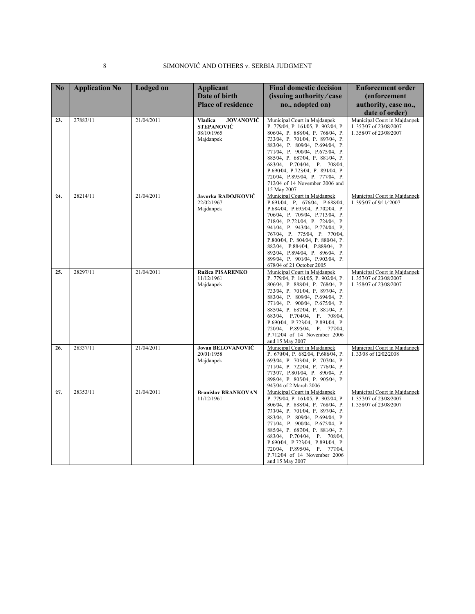| $\overline{\text{No}}$ | <b>Application No</b> | <b>Lodged</b> on | <b>Applicant</b>                   | <b>Final domestic decision</b>                                          | <b>Enforcement order</b>                         |
|------------------------|-----------------------|------------------|------------------------------------|-------------------------------------------------------------------------|--------------------------------------------------|
|                        |                       |                  | Date of birth                      | (issuing authority/case                                                 | (enforcement                                     |
|                        |                       |                  | <b>Place of residence</b>          | no., adopted on)                                                        | authority, case no.,                             |
|                        |                       |                  |                                    |                                                                         | date of order)                                   |
| 23.                    | 27883/11              | 21/04/2011       | <b>JOVANOVIĆ</b><br><b>Vladica</b> | Municipal Court in Majdanpek                                            | Municipal Court in Majdanpek                     |
|                        |                       |                  | <b>STEPANOVIĆ</b><br>08/10/1965    | P. 779/04, P. 161/05, P. 902/04, P.<br>806/04, P. 888/04, P. 768/04, P. | I. 357/07 of 23/08/2007<br>I. 35807 of 2308/2007 |
|                        |                       |                  | Majdanpek                          | 733/04, P. 701/04, P. 897/04, P.                                        |                                                  |
|                        |                       |                  |                                    | 88304, P. 80904, P.69404, P.                                            |                                                  |
|                        |                       |                  |                                    | 771/04, P. 900/04, P.675/04, P.                                         |                                                  |
|                        |                       |                  |                                    | 885/04, P. 687/04, P. 881/04, P.                                        |                                                  |
|                        |                       |                  |                                    | 68304, P.70404, P. 70804,<br>P.69004, P.72304, P. 89104, P.             |                                                  |
|                        |                       |                  |                                    | 72004, P.89504, P. 77704, P.                                            |                                                  |
|                        |                       |                  |                                    | 71204 of 14 November 2006 and                                           |                                                  |
|                        |                       |                  |                                    | 15 May 2007                                                             |                                                  |
| 24.                    | 28214/11              | 21/04/2011       | Javorka RADOJKOVIĆ                 | Municipal Court in Majdanpek                                            | Municipal Court in Majdanpek                     |
|                        |                       |                  | 22/02/1967<br>Majdanpek            | P.691/04, P. 676/04, P.688/04,<br>P.68404, P.69504, P.70204, P.         | I. 395/07 of 9/11/2007                           |
|                        |                       |                  |                                    | 70604, P. 70904, P.71304, P.                                            |                                                  |
|                        |                       |                  |                                    | 71804, P.72104, P. 72404, P.                                            |                                                  |
|                        |                       |                  |                                    | 941/04, P. 943/04, P.774/04, P.                                         |                                                  |
|                        |                       |                  |                                    | 767/04, P. 775/04, P. 770/04,<br>P.80004, P. 80404, P. 88004, P.        |                                                  |
|                        |                       |                  |                                    | 882/04, P.884/04, P.889/04, P.                                          |                                                  |
|                        |                       |                  |                                    | 892/04, P.894/04, P. 896/04. P.                                         |                                                  |
|                        |                       |                  |                                    | 899/04, P. 901/04, P.903/04, P.                                         |                                                  |
| 25.                    | 28297/11              | 21/04/2011       | Ružica PISARENKO                   | 67804 of 21 October 2005<br>Municipal Court in Majdanpek                | Municipal Court in Majdanpek                     |
|                        |                       |                  | 11/12/1961                         | P. 779/04, P. 161/05, P. 902/04, P.                                     | I. 357/07 of 23/08/2007                          |
|                        |                       |                  | Majdanpek                          | 80604, P. 88804, P. 76804, P.                                           | I. 35807 of 2308/2007                            |
|                        |                       |                  |                                    | 733/04, P. 701/04, P. 897/04, P.                                        |                                                  |
|                        |                       |                  |                                    | 883/04, P. 809/04, P.694/04, P.                                         |                                                  |
|                        |                       |                  |                                    | 771/04, P. 900/04, P.675/04, P.<br>885/04, P. 687/04, P. 881/04, P.     |                                                  |
|                        |                       |                  |                                    | 68304, P.70404, P. 70804,                                               |                                                  |
|                        |                       |                  |                                    | P.69004, P.72304, P.89104, P.                                           |                                                  |
|                        |                       |                  |                                    | 72004, P.89504, P. 77704,                                               |                                                  |
|                        |                       |                  |                                    | P.71204 of 14 November 2006<br>and 15 May 2007                          |                                                  |
| 26.                    | 28337/11              | 21/04/2011       | <b>Jovan BELOVANOVIĆ</b>           | Municipal Court in Majdanpek                                            | Municipal Court in Majdanpek                     |
|                        |                       |                  | 20/01/1958                         | P. 67904, P. 68204, P.68604, P.                                         | I. 3308 of 1202/2008                             |
|                        |                       |                  | Majdanpek                          | 69304, P. 70304, P. 70704, P.                                           |                                                  |
|                        |                       |                  |                                    | 711/04, P. 722/04, P. 776/04, P.<br>77307, P.80104, P. 89004, P.        |                                                  |
|                        |                       |                  |                                    | 89804, P. 80504, P. 90504, P.                                           |                                                  |
|                        |                       |                  |                                    | 947/04 of 2 March 2006                                                  |                                                  |
| 27.                    | 28353/11              | 21/04/2011       | <b>Branislav BRANKOVAN</b>         | Municipal Court in Majdanpek                                            | Municipal Court in Majdanpek                     |
|                        |                       |                  | 11/12/1961                         | P. 779/04, P. 161/05, P. 902/04, P.                                     | I. 357/07 of 23/08/2007                          |
|                        |                       |                  |                                    | 806/04, P. 888/04, P. 768/04, P.<br>733/04, P. 701/04, P. 897/04, P.    | I. 35807 of 2308/2007                            |
|                        |                       |                  |                                    | 88304, P. 80904, P.69404, P.                                            |                                                  |
|                        |                       |                  |                                    | 771/04, P. 900/04, P.675/04, P.                                         |                                                  |
|                        |                       |                  |                                    | 885/04, P. 687/04, P. 881/04, P.                                        |                                                  |
|                        |                       |                  |                                    | 68304, P.70404, P. 70804,<br>P.69004, P.72304, P.89104, P.              |                                                  |
|                        |                       |                  |                                    | 72004, P.89504, P. 77704,                                               |                                                  |
|                        |                       |                  |                                    | P.71204 of 14 November 2006                                             |                                                  |
|                        |                       |                  |                                    | and 15 May 2007                                                         |                                                  |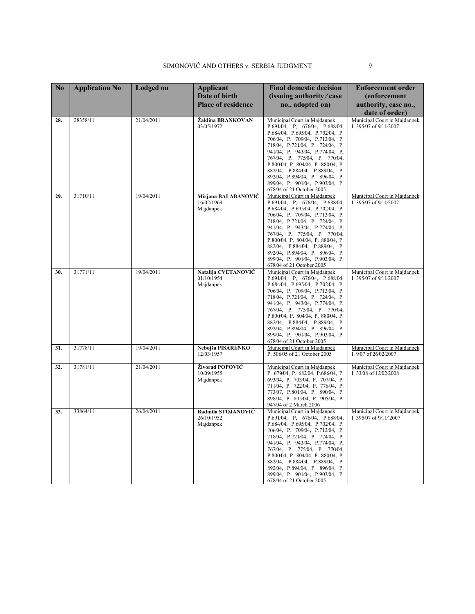| N <sub>o</sub> | <b>Application No</b> | <b>Lodged</b> on | <b>Applicant</b>                               | <b>Final domestic decision</b>                                                                                                                                                                                                                                                                                                                                                                             | <b>Enforcement order</b>                               |
|----------------|-----------------------|------------------|------------------------------------------------|------------------------------------------------------------------------------------------------------------------------------------------------------------------------------------------------------------------------------------------------------------------------------------------------------------------------------------------------------------------------------------------------------------|--------------------------------------------------------|
|                |                       |                  | Date of birth                                  | (issuing authority/case                                                                                                                                                                                                                                                                                                                                                                                    | <i>(enforcement)</i>                                   |
|                |                       |                  | <b>Place of residence</b>                      | no., adopted on)                                                                                                                                                                                                                                                                                                                                                                                           | authority, case no.,                                   |
|                |                       |                  |                                                |                                                                                                                                                                                                                                                                                                                                                                                                            | date of order)                                         |
| 28.            | 28358/11              | 21/04/2011       | Žaklina BRANKOVAN<br>03/05/1972                | Municipal Court in Majdanpek<br>P.691/04, P. 676/04, P.688/04,<br>P.68404, P.69504, P.70204, P.<br>70604, P. 70904, P.71304, P.<br>71804, P.72104, P. 72404, P.<br>941/04, P. 943/04, P.774/04, P.<br>767/04, P. 775/04, P. 770/04,<br>P.80004, P. 80404, P. 88004, P.<br>88204, P.88404, P.88904, P.<br>89204, P.89404, P. 89604. P.<br>899/04, P. 901/04, P.903/04, P.<br>67804 of 21 October 2005       | Municipal Court in Majdanpek<br>I. 395⁄07 of 9/11/2007 |
| 29.            | 31710/11              | 19/04/2011       | Mirjana BALABANOVIĆ<br>16/02/1969<br>Majdanpek | Municipal Court in Majdanpek<br>P.691/04, P. 676/04, P.688/04,<br>P.68404, P.69504, P.70204, P.<br>70604, P. 70904, P.71304, P.<br>71804, P.72104, P. 72404, P.<br>941/04, P. 943/04, P.774/04, P.<br>767/04, P. 775/04, P. 770/04,<br>P.80004, P. 80404, P. 88004, P.<br>882/04, P.884/04, P.889/04, P.<br>892/04, P.894/04, P. 896/04. P.<br>899/04, P. 901/04, P.903/04, P.<br>67804 of 21 October 2005 | Municipal Court in Majdanpek<br>I. 395/07 of 9/11/2007 |
| 30.            | 31771/11              | 19/04/2011       | Natalija CVETANOVIĆ<br>01/10/1954<br>Majdanpek | Municipal Court in Majdanpek<br>P.691/04, P. 676/04, P.688/04,<br>P.68404, P.69504, P.70204, P.<br>70604, P. 70904, P.71304, P.<br>71804, P.72104, P. 72404, P.<br>941/04, P. 943/04, P.774/04, P.<br>767/04, P. 775/04, P. 770/04,<br>P.80004, P. 80404, P. 88004, P.<br>882/04, P.884/04, P.889/04, P.<br>89204, P.89404, P. 89604. P.<br>89904, P. 90104, P.90304, P.<br>678⁄04 of 21 October 2005      | Municipal Court in Majdanpek<br>I. 395⁄07 of 9/11/2007 |
| 31.            | 31778/11              | 19/04/2011       | Nebojša PISARENKO<br>12/03/1957                | Municipal Court in Majdanpek<br>P. 506/05 of 21 October 2005                                                                                                                                                                                                                                                                                                                                               | Municipal Court in Majdanpek<br>I. 907 of 2602/2007    |
| 32.            | 31781/11              | 21/04/2011       | Živorad POPOVIĆ<br>10/09/1955<br>Majdanpek     | Municipal Court in Majdanpek<br>P. 679/04, P. 682/04, P.686/04, P.<br>693/04, P. 703/04, P. 707/04, P.<br>711/04, P. 722/04, P. 776/04, P.<br>77307, P.80104, P. 89004, P.<br>89804, P. 80504, P. 90504, P.<br>947/04 of 2 March 2006                                                                                                                                                                      | Municipal Court in Majdanpek<br>I. 3308 of 1202/2008   |
| 33.            | 33864/11              | 26/04/2011       | Radmila STOJANOVIĆ<br>26/10/1952<br>Majdanpek  | Municipal Court in Majdanpek<br>P.691/04, P. 676/04, P.688/04,<br>P.68404, P.69504, P.70204, P.<br>70604, P. 70904, P.71304, P.<br>71804, P.72104, P. 72404, P.<br>941/04, P. 943/04, P.774/04, P.<br>767/04, P. 775/04, P. 770/04,<br>P.80004, P. 80404, P. 88004, P.<br>88204, P.88404, P.88904, P.<br>89204, P.89404, P. 89604. P.<br>899/04, P. 901/04, P.903/04, P.<br>67804 of 21 October 2005       | Municipal Court in Majdanpek<br>I. 395/07 of 9/11/2007 |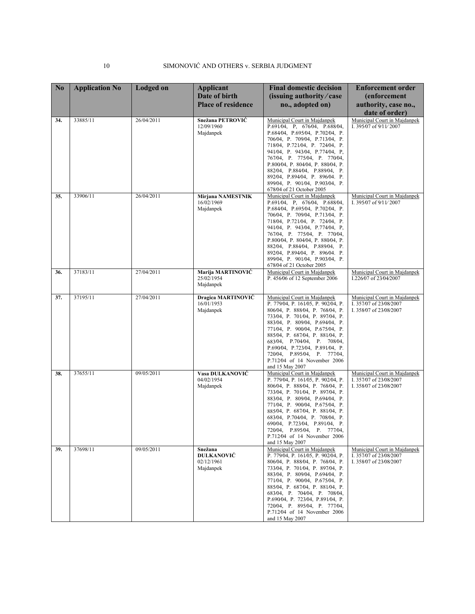| N <sub>0</sub> | <b>Application No</b> | <b>Lodged</b> on | <b>Applicant</b>                                    | <b>Final domestic decision</b>                                                                                                                                                                                                                                                                                                                                                                          | <b>Enforcement order</b>                                                         |
|----------------|-----------------------|------------------|-----------------------------------------------------|---------------------------------------------------------------------------------------------------------------------------------------------------------------------------------------------------------------------------------------------------------------------------------------------------------------------------------------------------------------------------------------------------------|----------------------------------------------------------------------------------|
|                |                       |                  | Date of birth                                       | (issuing authority/case                                                                                                                                                                                                                                                                                                                                                                                 | (enforcement                                                                     |
|                |                       |                  | <b>Place of residence</b>                           | no., adopted on)                                                                                                                                                                                                                                                                                                                                                                                        | authority, case no.,<br>date of order)                                           |
| 34.            | 33885/11              | 26/04/2011       | Snežana PETROVIĆ<br>12/09/1960<br>Majdanpek         | Municipal Court in Majdanpek<br>P.691/04, P. 676/04, P.688/04,<br>P.68404, P.69504, P.70204, P.<br>70604, P. 70904, P.71304, P.<br>71804, P.72104, P. 72404, P.<br>941/04, P. 943/04, P.774/04, P.<br>76704, P. 77504, P. 77004,<br>P.80004, P. 80404, P. 88004, P.<br>88204, P.88404, P.88904, P.<br>892/04, P.894/04, P. 896/04. P.<br>899/04, P. 901/04, P.903/04, P.<br>67804 of 21 October 2005    | Municipal Court in Majdanpek<br>I. 395/07 of $9/1$ $1/2007$                      |
| 35.            | 33906/11              | 26/04/2011       | <b>Mirjana NAMESTNIK</b><br>16/02/1969<br>Majdanpek | Municipal Court in Majdanpek<br>P.691/04, P. 676/04, P.688/04,<br>P.68404, P.69504, P.70204, P.<br>70604, P. 70904, P.71304, P.<br>71804, P.72104, P. 72404, P.<br>941/04, P. 943/04, P.774/04, P.<br>767/04, P. 775/04, P. 770/04,<br>P.80004, P. 80404, P. 88004, P.<br>88204, P.88404, P.88904, P.<br>892/04, P.894/04, P. 896/04. P.<br>899/04, P. 901/04, P.903/04, P.<br>67804 of 21 October 2005 | Municipal Court in Majdanpek<br>I. 395/07 of $9/1$ $1/2007$                      |
| 36.            | 37183/11              | 27/04/2011       | Marija MARTINOVIĆ<br>25/02/1954<br>Majdanpek        | Municipal Court in Majdanpek<br>P. 45606 of 12 September 2006                                                                                                                                                                                                                                                                                                                                           | Municipal Court in Majdanpek<br>I.226/07 of 23/04/2007                           |
| 37.            | 37195/11              | 27/04/2011       | Dragica MARTINOVIĆ<br>16/01/1953<br>Majdanpek       | Municipal Court in Majdanpek<br>P. 779/04, P. 161/05, P. 902/04, P.<br>80604, P. 88804, P. 76804, P.<br>73304, P. 70104, P. 89704, P.<br>88304, P. 80904, P.69404, P.<br>771/04, P. 900/04, P.675/04, P.<br>88504, P. 68704, P. 88104, P.<br>68304, P.70404, P. 70804,<br>P.69004, P.72304, P.89104, P.<br>72004, P.89504, P. 77704,<br>P.71204 of 14 November 2006<br>and 15 May 2007                  | Municipal Court in Majdanpek<br>I. 357/07 of 23/08/2007<br>I. 35807 of 2308/2007 |
| 38.            | 37655/11              | 09/05/2011       | Vasa DULKANOVIĆ<br>04/02/1954<br>Majdanpek          | Municipal Court in Majdanpek<br>P. 779/04, P. 161/05, P. 902/04, P.<br>80604, P. 88804, P. 76804, P.<br>733/04, P. 701/04, P. 897/04, P.<br>88304, P. 80904, P.69404, P.<br>771/04, P. 900/04, P.675/04, P.<br>88504, P. 68704, P. 88104, P.<br>68304, P.70404, P. 70804, P.<br>69004, P.72304, P.89104, P.<br>72004, P.89504, P. 77704,<br>P.71204 of 14 November 2006<br>and 15 May 2007              | Municipal Court in Majdanpek<br>I. 357/07 of 23/08/2007<br>I. 35807 of 2308/2007 |
| 39.            | 37698/11              | 09/05/2011       | Snežana<br>DULKANOVIĆ<br>02/12/1961<br>Majdanpek    | Municipal Court in Majdanpek<br>P. 779/04, P. 161/05, P. 902/04, P.<br>80604, P. 88804, P. 76804, P.<br>733/04, P. 701/04, P. 897/04, P.<br>883/04, P. 809/04, P.694/04, P.<br>771/04, P. 900/04, P.675/04, P.<br>885/04, P. 687/04, P. 881/04, P.<br>68304, P. 70404, P. 70804,<br>P.69004, P. 72304, P.89104, P.<br>72004, P. 89504, P. 77704,<br>P.71204 of 14 November 2006<br>and 15 May 2007      | Municipal Court in Maidanpek<br>I. 357/07 of 23/08/2007<br>I. 35807 of 2308/2007 |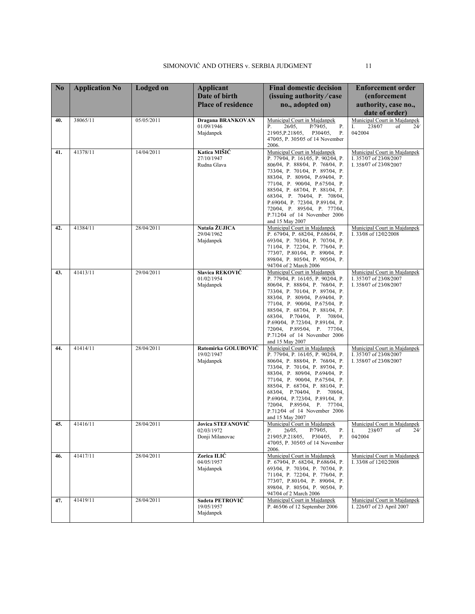| N <sub>0</sub> | <b>Application No</b> | <b>Lodged</b> on | <b>Applicant</b><br>Date of birth<br><b>Place of residence</b> | <b>Final domestic decision</b><br>(issuing authority/case<br>no., adopted on)                                                                                                                                                                                                                                                                                                                      | <b>Enforcement order</b><br>(enforcement<br>authority, case no.,<br>date of order) |
|----------------|-----------------------|------------------|----------------------------------------------------------------|----------------------------------------------------------------------------------------------------------------------------------------------------------------------------------------------------------------------------------------------------------------------------------------------------------------------------------------------------------------------------------------------------|------------------------------------------------------------------------------------|
| 40.            | 38065/11              | 05/05/2011       | Dragana BRANKOVAN<br>01/09/1946<br>Majdanpek                   | Municipal Court in Majdanpek<br>Ρ.<br>2605,<br>$P/79/05$ ,<br>Р.<br>Ρ.<br>219/05.P.218/05.<br>P30405.<br>47005, P. 30505 of 14 November<br>2006.                                                                                                                                                                                                                                                   | Municipal Court in Majdanpek<br>23807<br>of<br>I.<br>24'<br>04/2004                |
| 41.            | 41378/11              | 14/04/2011       | Katica MIŠIĆ<br>27/10/1947<br>Rudna Glava                      | Municipal Court in Majdanpek<br>P. 779/04, P. 161/05, P. 902/04, P.<br>80604, P. 88804, P. 76804, P.<br>733/04, P. 701/04, P. 897/04, P.<br>883/04, P. 809/04, P.694/04, P.<br>771/04, P. 900/04, P.675/04, P.<br>885/04, P. 687/04, P. 881/04, P.<br>68304, P. 70404, P. 70804,<br>P.69004, P. 72304, P.89104, P.<br>72004, P. 89504, P. 77704,<br>P.71204 of 14 November 2006<br>and 15 May 2007 | Municipal Court in Majdanpek<br>I. 357/07 of 23/08/2007<br>I. 35807 of 2308/2007   |
| 42.            | 41384/11              | 28/04/2011       | Nataša ŽUJICA<br>29/04/1962<br>Majdanpek                       | Municipal Court in Majdanpek<br>P. 679/04, P. 682/04, P.686/04, P.<br>693/04, P. 703/04, P. 707/04, P.<br>711/04, P. 722/04, P. 776/04, P.<br>77307, P.80104, P. 89004, P.<br>89804, P. 80504, P. 90504, P.<br>947/04 of 2 March 2006                                                                                                                                                              | Municipal Court in Majdanpek<br>I. 3308 of 1202/2008                               |
| 43.            | 41413/11              | 29/04/2011       | Slavica REKOVIĆ<br>01/02/1954<br>Majdanpek                     | Municipal Court in Majdanpek<br>P. 779/04, P. 161/05, P. 902/04, P.<br>80604, P. 88804, P. 76804, P.<br>733/04, P. 701/04, P. 897/04, P.<br>88304, P. 80904, P.69404, P.<br>771/04, P. 900/04, P.675/04, P.<br>88504, P. 68704, P. 88104, P.<br>68304, P.70404, P. 70804,<br>P.69004, P.72304, P.89104, P.<br>72004, P.89504, P. 77704,<br>P.71204 of 14 November 2006<br>and 15 May 2007          | Municipal Court in Majdanpek<br>I. 357/07 of 23/08/2007<br>I. 35807 of 2308/2007   |
| 44.            | 41414/11              | 28/04/2011       | Ratomirka GOLUBOVIĆ<br>19/02/1947<br>Majdanpek                 | Municipal Court in Majdanpek<br>P. 779/04, P. 161/05, P. 902/04, P.<br>80604, P. 88804, P. 76804, P.<br>73304, P. 70104, P. 89704, P.<br>88304, P. 80904, P.69404, P.<br>771/04, P. 900/04, P.675/04, P.<br>88504, P. 68704, P. 88104, P.<br>68304, P.70404, P. 70804,<br>P.69004, P.72304, P.89104, P.<br>72004, P.89504, P. 77704,<br>P.71204 of 14 November 2006<br>and 15 May 2007             | Municipal Court in Majdanpek<br>I. 357/07 of 23/08/2007<br>I. 35807 of 2308/2007   |
| 45.            | 41416/11              | 28/04/2011       | Jovica STEFANOVIĆ<br>02/03/1972<br>Donji Milanovac             | Municipal Court in Majdanpek<br>Р.<br>2605,<br>P/79/05,<br>Р.<br>219/05, P.218/05,<br>P30405,<br>Ρ.<br>47005, P. 30505 of 14 November<br>2006.                                                                                                                                                                                                                                                     | Municipal Court in Majdanpek<br>Ι.<br>23807<br>24⁄<br>of<br>04/2004                |
| 46.            | 41417/11              | 28/04/2011       | Zorica ILIĆ<br>04/05/1957<br>Majdanpek                         | Municipal Court in Majdanpek<br>P. 67904, P. 68204, P.68604, P.<br>69304, P. 70304, P. 70704, P.<br>711/04, P. 722/04, P. 776/04, P.<br>77307, P.80104, P. 89004, P.<br>89804, P. 80504, P. 90504, P.<br>947/04 of 2 March 2006                                                                                                                                                                    | Municipal Court in Majdanpek<br>I. 3308 of 1202/2008                               |
| 47.            | 41419/11              | 28/04/2011       | Sadeta PETROVIĆ<br>19/05/1957<br>Majdanpek                     | Municipal Court in Majdanpek<br>P. 465⁄06 of 12 September 2006                                                                                                                                                                                                                                                                                                                                     | Municipal Court in Majdanpek<br>I. 22607 of 23 April 2007                          |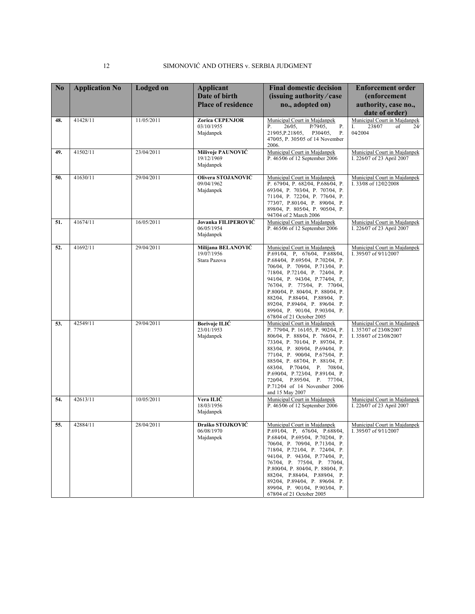| No  | <b>Application No</b> | <b>Lodged</b> on | <b>Applicant</b><br>Date of birth<br><b>Place of residence</b> | <b>Final domestic decision</b><br>(issuing authority/case<br>no., adopted on)                                                                                                                                                                                                                                                                                                                              | <b>Enforcement order</b><br><i>(enforcement</i><br>authority, case no.,<br>date of order) |
|-----|-----------------------|------------------|----------------------------------------------------------------|------------------------------------------------------------------------------------------------------------------------------------------------------------------------------------------------------------------------------------------------------------------------------------------------------------------------------------------------------------------------------------------------------------|-------------------------------------------------------------------------------------------|
| 48. | 41428/11              | 11/05/2011       | <b>Zorica CEPENJOR</b><br>03/10/1955<br>Majdanpek              | Municipal Court in Majdanpek<br>Ρ.<br>2605,<br>P/79/05.<br>Ρ.<br>219/05, P.218/05,<br>P30405,<br>Ρ.<br>47005, P. 30505 of 14 November<br>2006.                                                                                                                                                                                                                                                             | Municipal Court in Majdanpek<br>23807<br>of<br>24 <sub>1</sub><br>I.<br>04/2004           |
| 49. | 41502/11              | 23/04/2011       | Milivoje PAUNOVIĆ<br>19/12/1969<br>Majdanpek                   | Municipal Court in Majdanpek<br>P. 465/06 of 12 September 2006                                                                                                                                                                                                                                                                                                                                             | Municipal Court in Majdanpek<br>I. 22607 of 23 April 2007                                 |
| 50. | 41630/11              | 29/04/2011       | Olivera STOJANOVIĆ<br>09/04/1962<br>Majdanpek                  | Municipal Court in Majdanpek<br>P. 67904, P. 68204, P.68604, P.<br>693/04, P. 703/04, P. 707/04, P.<br>711/04, P. 722/04, P. 776/04, P.<br>77307, P.80104, P. 89004, P.<br>89804, P. 80504, P. 90504, P.<br>947/04 of 2 March 2006                                                                                                                                                                         | Municipal Court in Majdanpek<br>I. 3308 of 1202/2008                                      |
| 51. | 41674/11              | 16/05/2011       | Jovanka FILIPEROVIĆ<br>06/05/1954<br>Majdanpek                 | Municipal Court in Majdanpek<br>P. 46506 of 12 September 2006                                                                                                                                                                                                                                                                                                                                              | Municipal Court in Majdanpek<br>I. 22607 of 23 April 2007                                 |
| 52. | 41692/11              | 29/04/2011       | Milijana BELANOVIĆ<br>19/07/1956<br>Stara Pazova               | Municipal Court in Majdanpek<br>P.691/04, P. 676/04, P.688/04,<br>P.68404, P.69504, P.70204, P.<br>70604, P. 70904, P.71304, P.<br>71804, P.72104, P. 72404, P.<br>941/04, P. 943/04, P.774/04, P.<br>767/04, P. 775/04, P. 770/04,<br>P.80004, P. 80404, P. 88004, P.<br>882/04, P.884/04, P.889/04, P.<br>892/04, P.894/04, P. 896/04. P.<br>89904, P. 90104, P.90304, P.<br>67804 of 21 October 2005    | Municipal Court in Majdanpek<br>I. 395⁄07 of 9/11/2007                                    |
| 53. | 42549/11              | 29/04/2011       | <b>Borivoje ILIĆ</b><br>23/01/1953<br>Majdanpek                | Municipal Court in Majdanpek<br>P. 77904, P. 16105, P. 90204, P.<br>80604, P. 88804, P. 76804, P.<br>733/04, P. 701/04, P. 897/04, P.<br>88304, P. 80904, P.69404, P.<br>771/04, P. 900/04, P.675/04, P.<br>885/04, P. 687/04, P. 881/04, P.<br>68304, P.70404, P. 70804,<br>P.69004, P.72304, P.89104, P.<br>72004, P.89504, P. 77704,<br>P.71204 of 14 November 2006<br>and 15 May 2007                  | Municipal Court in Majdanpek<br>I. 357/07 of 23/08/2007<br>I. 35807 of 2308/2007          |
| 54. | 42613/11              | 10/05/2011       | Vera ILIĆ<br>18/03/1956<br>Majdanpek                           | Municipal Court in Majdanpek<br>P. 465⁄06 of 12 September 2006                                                                                                                                                                                                                                                                                                                                             | Municipal Court in Majdanpek<br>I. 22607 of 23 April 2007                                 |
| 55. | 42884/11              | 28/04/2011       | Draško STOJKOVIĆ<br>06/08/1970<br>Majdanpek                    | Municipal Court in Majdanpek<br>$P.69104$ , P, 67604, P.68804,<br>P.68404, P.69504, P.70204, P.<br>70604, P. 70904, P.71304, P.<br>71804, P.72104, P. 72404, P.<br>941/04, P. 943/04, P.774/04, P.<br>767/04, P. 775/04, P. 770/04,<br>P.80004, P. 80404, P. 88004, P.<br>882/04, P.884/04, P.889/04, P.<br>892/04, P.894/04, P. 896/04. P.<br>899/04, P. 901/04, P.903/04, P.<br>67804 of 21 October 2005 | Municipal Court in Majdanpek<br>I. 395/07 of 9/11/2007                                    |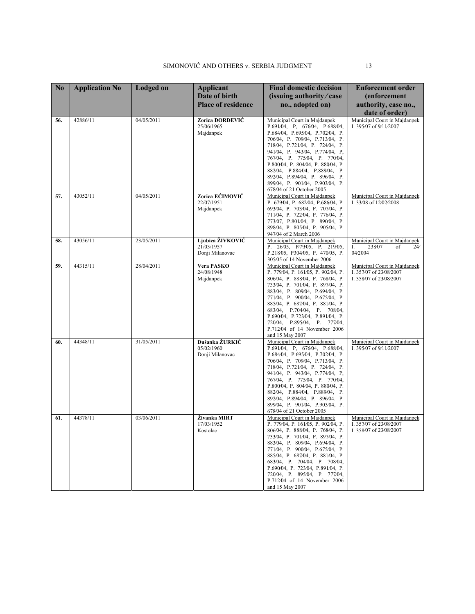| N <sub>o</sub> | <b>Application No</b> | <b>Lodged</b> on | <b>Applicant</b><br><b>Date of birth</b><br><b>Place of residence</b> | <b>Final domestic decision</b><br>(isuing authority/case)<br>no., adopted on)                                                                                                                                                                                                                                                                                                                              | <b>Enforcement order</b><br><i>(enforcement</i><br>authority, case no.,          |
|----------------|-----------------------|------------------|-----------------------------------------------------------------------|------------------------------------------------------------------------------------------------------------------------------------------------------------------------------------------------------------------------------------------------------------------------------------------------------------------------------------------------------------------------------------------------------------|----------------------------------------------------------------------------------|
| 56.            | 42886/11              | 04/05/2011       | Zorica ĐORĐEVIĆ<br>25/06/1965<br>Majdanpek                            | Municipal Court in Majdanpek<br>P.691/04, P. 676/04, P.688/04,<br>P.68404, P.69504, P.70204, P.<br>70604, P. 70904, P.71304, P.<br>71804, P.72104, P. 72404, P.<br>941/04, P. 943/04, P.774/04, P.<br>767/04, P. 775/04, P. 770/04,<br>P.80004, P. 80404, P. 88004, P.<br>882/04, P.884/04, P.889/04, P.<br>892/04, P.894/04, P. 896/04. P.<br>899/04, P. 901/04, P.903/04, P.<br>67804 of 21 October 2005 | date of order)<br>Municipal Court in Majdanpek<br>I. 395⁄07 of 9/11/2007         |
| 57.            | 43052/11              | 04/05/2011       | Zorica EĆIMOVIĆ<br>22/07/1951<br>Majdanpek                            | Municipal Court in Majdanpek<br>P. 679/04, P. 682/04, P.686/04, P.<br>693/04, P. 703/04, P. 707/04, P.<br>711/04, P. 722/04, P. 776/04, P.<br>77307, P.80104, P. 89004, P.<br>89804, P. 80504, P. 90504, P.<br>947/04 of 2 March 2006                                                                                                                                                                      | Municipal Court in Majdanpek<br>I. 33/08 of 12/02/2008                           |
| 58.            | 43056/11              | 23/05/2011       | Ljubica ŽIVKOVIĆ<br>21/03/1957<br>Donji Milanovac                     | Municipal Court in Majdanpek<br>P. 2605, P. 7905, P. 21905,<br>P.21805, P30405, P. 47005, P.<br>305/05 of 14 November 2006                                                                                                                                                                                                                                                                                 | Municipal Court in Majdanpek<br>23807<br>of<br>24'<br>Ι.<br>04/2004              |
| 59.            | 44315/11              | 28/04/2011       | Vera PASKO<br>24/08/1948<br>Majdanpek                                 | Municipal Court in Majdanpek<br>P. 779/04, P. 161/05, P. 902/04, P.<br>80604, P. 88804, P. 76804, P.<br>733/04, P. 701/04, P. 897/04, P.<br>88304, P. 80904, P.69404, P.<br>771/04, P. 900/04, P.675/04, P.<br>88504, P. 68704, P. 88104, P.<br>68304, P.70404, P. 70804,<br>P.69004, P.72304, P.89104, P.<br>72004, P.89504, P. 77704,<br>P.71204 of 14 November 2006<br>and 15 May 2007                  | Municipal Court in Majdanpek<br>I. 357/07 of 23/08/2007<br>I. 35807 of 2308/2007 |
| 60.            | 44348/11              | 31/05/2011       | Dušanka ŽURKIĆ<br>05/02/1960<br>Donji Milanovac                       | Municipal Court in Majdanpek<br>P.691/04, P. 676/04, P.688/04,<br>P.68404, P.69504, P.70204, P.<br>70604, P. 70904, P.71304, P.<br>71804, P.72104, P. 72404, P.<br>941/04, P. 943/04, P.774/04, P.<br>767/04, P. 775/04, P. 770/04,<br>P.80004, P. 80404, P. 88004, P.<br>88204, P.88404, P.88904, P.<br>892/04, P.894/04, P. 896/04. P.<br>899/04, P. 901/04, P.903/04, P.<br>67804 of 21 October 2005    | Municipal Court in Majdanpek<br>I. 395⁄07 of 9/11/2007                           |
| 61.            | 44378/11              | 03/06/2011       | Živanka MIRT<br>17/03/1952<br>Kostolac                                | Municipal Court in Majdanpek<br>P. 779/04, P. 161/05, P. 902/04, P.<br>80604, P. 88804, P. 76804, P.<br>733/04, P. 701/04, P. 897/04, P.<br>88304, P. 80904, P.69404, P.<br>771/04, P. 900/04, P.675/04, P.<br>88504, P. 68704, P. 88104, P.<br>68304, P. 70404, P. 70804,<br>P.69004, P. 72304, P.89104, P.<br>72004, P. 89504, P. 77704,<br>P.71204 of 14 November 2006<br>and 15 May 2007               | Municipal Court in Majdanpek<br>I. 357/07 of 23/08/2007<br>I. 35807 of 2308/2007 |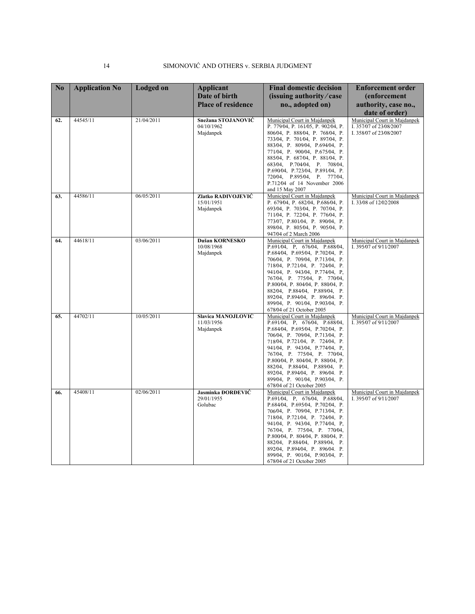| N <sub>o</sub> | <b>Application No</b> | <b>Lodged</b> on | <b>Applicant</b>                              | <b>Final domestic decision</b>                                                                                                                                                                                                                                                                                                                                                                          | <b>Enforcement order</b>                                                         |
|----------------|-----------------------|------------------|-----------------------------------------------|---------------------------------------------------------------------------------------------------------------------------------------------------------------------------------------------------------------------------------------------------------------------------------------------------------------------------------------------------------------------------------------------------------|----------------------------------------------------------------------------------|
|                |                       |                  | Date of birth                                 | (issuing authority/case                                                                                                                                                                                                                                                                                                                                                                                 | <i>(enforcement</i>                                                              |
|                |                       |                  | <b>Place of residence</b>                     | no., adopted on)                                                                                                                                                                                                                                                                                                                                                                                        | authority, case no.,                                                             |
|                |                       |                  |                                               |                                                                                                                                                                                                                                                                                                                                                                                                         | date of order)                                                                   |
| 62.            | 44545/11              | 21/04/2011       | Snežana STOJANOVIĆ<br>04/10/1962<br>Majdanpek | Municipal Court in Majdanpek<br>P. 779/04, P. 161/05, P. 902/04, P.<br>80604, P. 88804, P. 76804, P.<br>733/04, P. 701/04, P. 897/04, P.<br>88304, P. 80904, P.69404, P.                                                                                                                                                                                                                                | Municipal Court in Majdanpek<br>I. 357/07 of 23/08/2007<br>I. 35807 of 2308/2007 |
|                |                       |                  |                                               | 771/04, P. 900/04, P.675/04, P.<br>885/04, P. 687/04, P. 881/04, P.<br>68304, P.70404, P. 70804,<br>P.69004, P.72304, P.89104, P.<br>72004, P.89504, P. 77704,<br>P.71204 of 14 November 2006<br>and 15 May 2007                                                                                                                                                                                        |                                                                                  |
| 63.            | 44586/11              | 06/05/2011       | Zlatko RADIVOJEVIĆ<br>15/01/1951<br>Majdanpek | Municipal Court in Majdanpek<br>P. 679/04, P. 682/04, P.686/04, P.<br>693/04, P. 703/04, P. 707/04, P.<br>711/04, P. 722/04, P. 776/04, P.<br>77307, P.80104, P. 89004, P.<br>89804, P. 80504, P. 90504, P.<br>947/04 of 2 March 2006                                                                                                                                                                   | Municipal Court in Majdanpek<br>I. 3308 of 1202/2008                             |
| 64.            | 44618/11              | 03/06/2011       | Dušan KORNESKO<br>10/08/1968<br>Majdanpek     | Municipal Court in Majdanpek<br>P.691/04, P. 676/04, P.688/04,<br>P.68404, P.69504, P.70204, P.<br>70604, P. 70904, P.71304, P.<br>71804, P.72104, P. 72404, P.<br>941/04, P. 943/04, P.774/04, P.<br>767/04, P. 775/04, P. 770/04,<br>P.80004, P. 80404, P. 88004, P.<br>88204, P.88404, P.88904, P.<br>89204, P.89404, P. 89604. P.<br>899/04, P. 901/04, P.903/04, P.<br>67804 of 21 October 2005    | Municipal Court in Majdanpek<br>I. 395⁄07 of 9/11/2007                           |
| 65.            | 44702/11              | 10/05/2011       | Slavica MANOJLOVIĆ<br>11/03/1956<br>Majdanpek | Municipal Court in Majdanpek<br>$P.69104$ , P, 67604, P.68804,<br>P.68404, P.69504, P.70204, P.<br>70604, P. 70904, P.71304, P.<br>71804, P.72104, P. 72404, P.<br>941/04, P. 943/04, P.774/04, P.<br>767/04, P. 775/04, P. 770/04,<br>P.80004, P. 80404, P. 88004, P.<br>88204, P.88404, P.88904, P.<br>892/04, P.894/04, P. 896/04. P.<br>899/04, P. 901/04, P.903/04, P.<br>67804 of 21 October 2005 | Municipal Court in Majdanpek<br>I. 395/07 of 9/11/2007                           |
| 66.            | 45408/11              | 02/06/2011       | Jasminka ĐORĐEVIĆ<br>29/01/1955<br>Golubac    | Municipal Court in Majdanpek<br>P.691/04, P. 676/04, P.688/04,<br>P.68404, P.69504, P.70204, P.<br>70604, P. 70904, P.71304, P.<br>71804, P.72104, P. 72404, P.<br>941/04, P. 943/04, P.774/04, P.<br>767/04, P. 775/04, P. 770/04,<br>P.80004, P. 80404, P. 88004, P.<br>88204, P.88404, P.88904, P.<br>892/04, P.894/04, P. 896/04. P.<br>899/04, P. 901/04, P.903/04, P.<br>67804 of 21 October 2005 | Municipal Court in Majdanpek<br>I. 395⁄07 of 9/11/2007                           |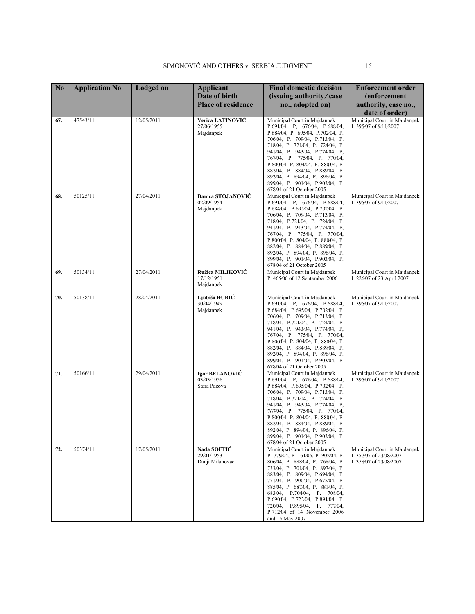| N <sub>0</sub> | <b>Application No</b> | <b>Lodged</b> on | <b>Applicant</b><br>Date of birth                   | <b>Final domestic decision</b><br>(issuing authority/case)                                                                                                                                                                                                                                                                                                                                                        | <b>Enforcement order</b><br>(enforcement                                         |
|----------------|-----------------------|------------------|-----------------------------------------------------|-------------------------------------------------------------------------------------------------------------------------------------------------------------------------------------------------------------------------------------------------------------------------------------------------------------------------------------------------------------------------------------------------------------------|----------------------------------------------------------------------------------|
|                |                       |                  | <b>Place of residence</b>                           | no., adopted on)                                                                                                                                                                                                                                                                                                                                                                                                  | authority, case no.,<br>date of order)                                           |
| 67.            | 47543/11              | 12/05/2011       | Verica LATINOVIĆ<br>27/06/1955<br>Majdanpek         | Municipal Court in Majdanpek<br>P.691/04, P. 676/04, P.688/04,<br>P.68404, P. 69504, P.70204, P.<br>70604, P. 70904, P.71304, P.<br>71804, P. 72104, P. 72404, P.<br>941/04, P. 943/04, P.774/04, P.<br>767/04, P. 775/04, P. 770/04,<br>P.80004, P. 80404, P. 88004, P.<br>88204, P. 88404, P.88904, P.<br>892/04, P. 894/04, P. 896/04. P.<br>899/04, P. 901/04, P.903/04, P.<br>67804 of 21 October 2005       | Municipal Court in Majdanpek<br>I. 395/07 of 9/11/2007                           |
| 68.            | 50125/11              | 27/04/2011       | Danica STOJANOVIĆ<br>02/09/1954<br>Majdanpek        | Municipal Court in Majdanpek<br>P.691/04, P. 676/04, P.688/04,<br>$P.68404$ , $P.69504$ , $P.70204$ , $P.$<br>70604, P. 70904, P.71304, P.<br>71804, P.72104, P. 72404, P.<br>941/04, P. 943/04, P.774/04, P.<br>767/04, P. 775/04, P. 770/04,<br>P.80004, P. 80404, P. 88004, P.<br>88204, P. 88404, P.88904, P.<br>89204, P. 89404, P. 89604. P.<br>899/04, P. 901/04, P.903/04, P.<br>67804 of 21 October 2005 | Municipal Court in Majdanpek<br>I. 395⁄07 of 9/11/2007                           |
| 69.            | 50134/11              | 27/04/2011       | Ružica MILJKOVIĆ<br>17/12/1951<br>Majdanpek         | Municipal Court in Majdanpek<br>P. 465⁄06 of 12 September 2006                                                                                                                                                                                                                                                                                                                                                    | Municipal Court in Majdanpek<br>I. 22607 of 23 April 2007                        |
| 70.            | 50138/11              | 28/04/2011       | Ljubiša ĐURIĆ<br>30/04/1949<br>Majdanpek            | Municipal Court in Majdanpek<br>P.691/04, P. 676/04, P.688/04,<br>P.68404, P.69504, P.70204, P.<br>70604, P. 70904, P.71304, P.<br>71804, P.72104, P. 72404, P.<br>941/04, P. 943/04, P.774/04, P.<br>767/04, P. 775/04, P. 770/04,<br>P.80004, P. 80404, P. 88004, P.<br>88204, P. 88404, P.88904, P.<br>892/04, P. 894/04, P. 896/04. P.<br>899/04, P. 901/04, P.903/04, P.<br>67804 of 21 October 2005         | Municipal Court in Majdanpek<br>I. 395⁄07 of 9/11/2007                           |
| 71.            | 50166/11              | 29/04/2011       | <b>Igor BELANOVIĆ</b><br>03/03/1956<br>Stara Pazova | Municipal Court in Majdanpek<br>P.691/04, P. 676/04, P.688/04,<br>P.68404, P.69504, P.70204, P.<br>70604, P. 70904, P.71304, P.<br>71804, P.72104, P. 72404, P.<br>941/04, P. 943/04, P.774/04, P.<br>767/04, P. 775/04, P. 770/04,<br>P.80004, P. 80404, P. 88004, P.<br>88204, P. 88404, P.88904, P.<br>89204, P. 89404, P. 89604. P.<br>899/04, P. 901/04, P.903/04, P.<br>67804 of 21 October 2005            | Municipal Court in Majdanpek<br>I. 395⁄07 of 9/11/2007                           |
| 72.            | 50374/11              | 17/05/2011       | Nada SOFTIĆ<br>29/01/1953<br>Danji Milanovac        | Municipal Court in Maidanpek<br>P. 779/04, P. 161/05, P. 902/04, P.<br>806/04, P. 888/04, P. 768/04, P.<br>733/04, P. 701/04, P. 897/04, P.<br>88304, P. 80904, P.69404, P.<br>771/04, P. 900/04, P.675/04, P.<br>885/04, P. 687/04, P. 881/04, P.<br>68304, P.70404, P. 70804,<br>P.69004, P.72304, P.89104, P.<br>72004, P.89504, P. 77704,<br>P.71204 of 14 November 2006<br>and 15 May 2007                   | Municipal Court in Maidanpek<br>I. 357/07 of 23/08/2007<br>I. 35807 of 2308/2007 |